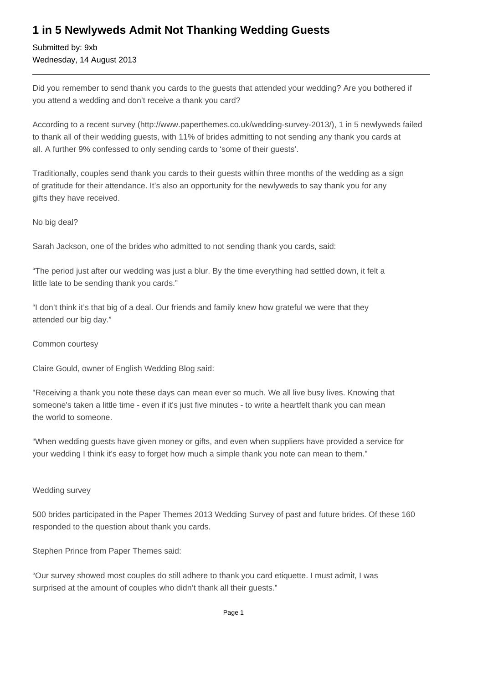## **1 in 5 Newlyweds Admit Not Thanking Wedding Guests**

Submitted by: 9xb Wednesday, 14 August 2013

Did you remember to send thank you cards to the guests that attended your wedding? Are you bothered if you attend a wedding and don't receive a thank you card?

According to a recent survey (http://www.paperthemes.co.uk/wedding-survey-2013/), 1 in 5 newlyweds failed to thank all of their wedding guests, with 11% of brides admitting to not sending any thank you cards at all. A further 9% confessed to only sending cards to 'some of their guests'.

Traditionally, couples send thank you cards to their guests within three months of the wedding as a sign of gratitude for their attendance. It's also an opportunity for the newlyweds to say thank you for any gifts they have received.

No big deal?

Sarah Jackson, one of the brides who admitted to not sending thank you cards, said:

"The period just after our wedding was just a blur. By the time everything had settled down, it felt a little late to be sending thank you cards."

"I don't think it's that big of a deal. Our friends and family knew how grateful we were that they attended our big day."

Common courtesy

Claire Gould, owner of English Wedding Blog said:

"Receiving a thank you note these days can mean ever so much. We all live busy lives. Knowing that someone's taken a little time - even if it's just five minutes - to write a heartfelt thank you can mean the world to someone.

"When wedding guests have given money or gifts, and even when suppliers have provided a service for your wedding I think it's easy to forget how much a simple thank you note can mean to them."

## Wedding survey

500 brides participated in the Paper Themes 2013 Wedding Survey of past and future brides. Of these 160 responded to the question about thank you cards.

Stephen Prince from Paper Themes said:

"Our survey showed most couples do still adhere to thank you card etiquette. I must admit, I was surprised at the amount of couples who didn't thank all their guests."